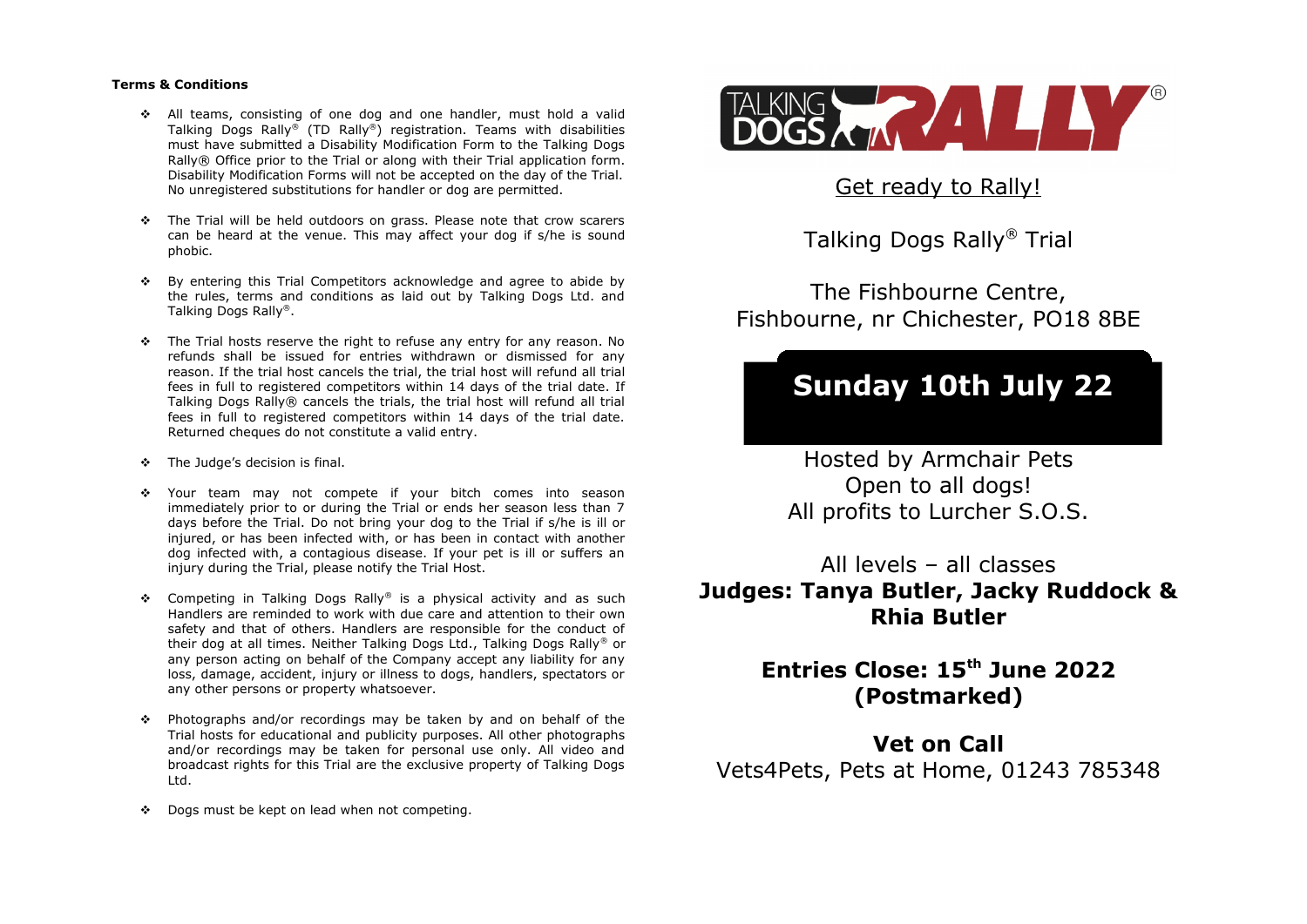#### **Terms & Conditions**

- All teams, consisting of one dog and one handler, must hold a valid Talking Dogs Rally® (TD Rally®) registration. Teams with disabilities must have submitted a Disability Modification Form to the Talking Dogs Rally® Office prior to the Trial or along with their Trial application form. Disability Modification Forms will not be accepted on the day of the Trial. No unregistered substitutions for handler or dog are permitted.
- $\cdot \cdot$  The Trial will be held outdoors on grass. Please note that crow scarers can be heard at the venue. This may affect your dog if s/he is sound phobic.
- By entering this Trial Competitors acknowledge and agree to abide by the rules, terms and conditions as laid out by Talking Dogs Ltd. and Talking Dogs Rally®.
- $\cdot \cdot$  The Trial hosts reserve the right to refuse any entry for any reason. No refunds shall be issued for entries withdrawn or dismissed for any reason. If the trial host cancels the trial, the trial host will refund all trial fees in full to registered competitors within 14 days of the trial date. If Talking Dogs Rally® cancels the trials, the trial host will refund all trial fees in full to registered competitors within 14 days of the trial date. Returned cheques do not constitute a valid entry.
- **\*** The Judge's decision is final.
- Your team may not compete if your bitch comes into season immediately prior to or during the Trial or ends her season less than 7 days before the Trial. Do not bring your dog to the Trial if s/he is ill or injured, or has been infected with, or has been in contact with another dog infected with, a contagious disease. If your pet is ill or suffers an injury during the Trial, please notify the Trial Host.
- Competing in Talking Dogs Rally® is a physical activity and as such Handlers are reminded to work with due care and attention to their own safety and that of others. Handlers are responsible for the conduct of their dog at all times. Neither Talking Dogs Ltd., Talking Dogs Rally® or any person acting on behalf of the Company accept any liability for any loss, damage, accident, injury or illness to dogs, handlers, spectators or any other persons or property whatsoever.
- Photographs and/or recordings may be taken by and on behalf of the Trial hosts for educational and publicity purposes. All other photographs and/or recordings may be taken for personal use only. All video and broadcast rights for this Trial are the exclusive property of Talking Dogs Ltd.
- Dogs must be kept on lead when not competing.



Get ready to Rally!

Talking Dogs Rally® Trial

The Fishbourne Centre, Fishbourne, nr Chichester, PO18 8BE

# **Sunday 10th July 22**

Hosted by Armchair Pets Open to all dogs! All profits to Lurcher S.O.S.

All levels – all classes **Judges: Tanya Butler, Jacky Ruddock & Rhia Butler**

> **Entries Close: 15th June 2022 (Postmarked)**

**Vet on Call** Vets4Pets, Pets at Home, 01243 785348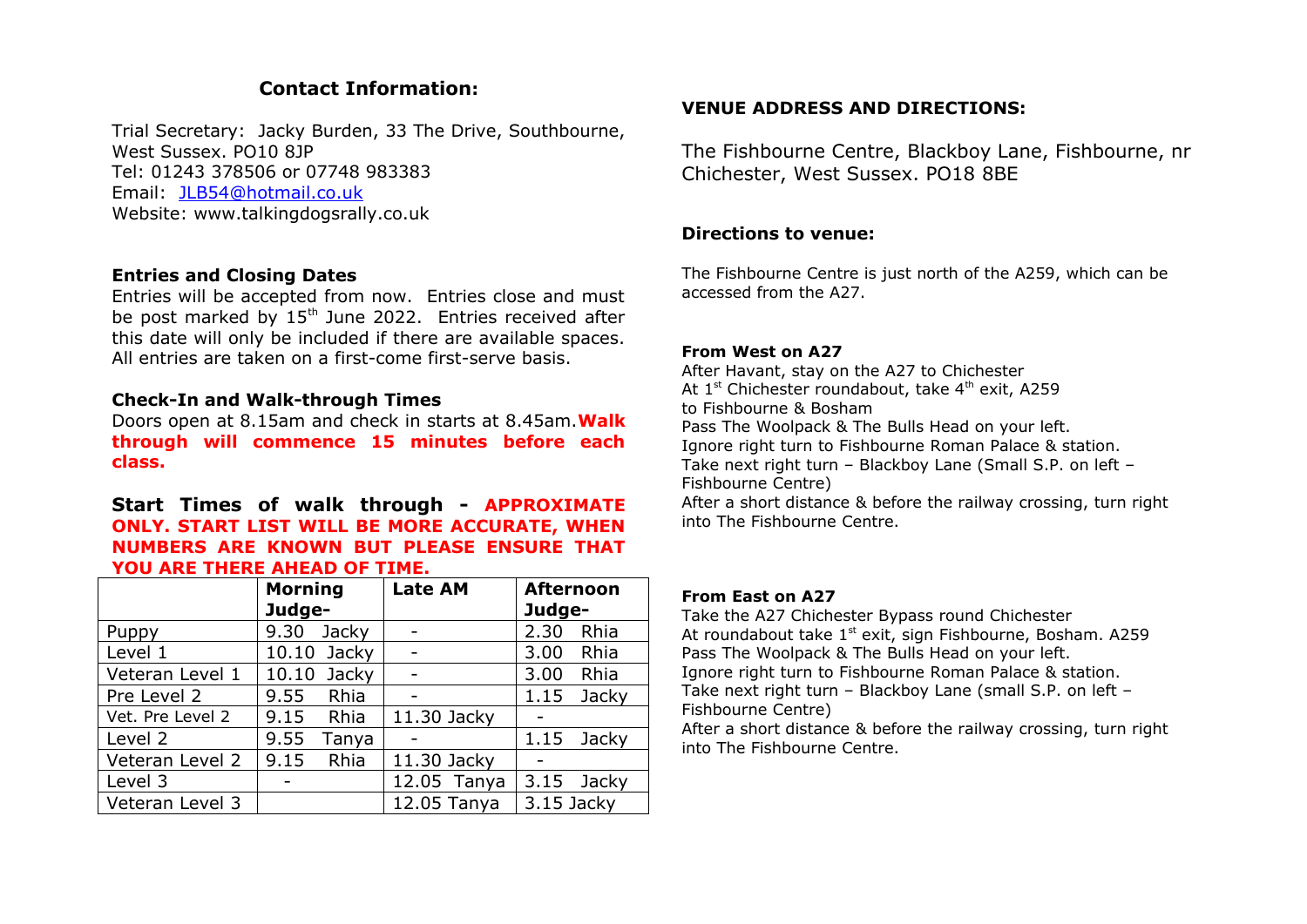# **Contact Information:**

Trial Secretary: Jacky Burden, 33 The Drive, Southbourne, West Sussex. PO10 8JP Tel: 01243 378506 or 07748 983383 Email: [JLB54@hotmail.co.uk](mailto:JLB54@hotmail.co.uk) Website: www.talkingdogsrally.co.uk

# **Entries and Closing Dates**

Entries will be accepted from now. Entries close and must be post marked by 15<sup>th</sup> June 2022. Entries received after this date will only be included if there are available spaces. All entries are taken on a first-come first-serve basis.

### **Check-In and Walk-through Times**

Doors open at 8.15am and check in starts at 8.45am.**Walk through will commence 15 minutes before each class.**

**Start Times of walk through - APPROXIMATE ONLY. START LIST WILL BE MORE ACCURATE, WHEN NUMBERS ARE KNOWN BUT PLEASE ENSURE THAT YOU ARE THERE AHEAD OF TIME.**

|                  | <b>Morning</b> |       | <b>Late AM</b> |  | <b>Afternoon</b> |            |  |
|------------------|----------------|-------|----------------|--|------------------|------------|--|
|                  | Judge-         |       |                |  | Judge-           |            |  |
| Puppy            | 9.30           | Jacky |                |  | 2.30             | Rhia       |  |
| Level 1          | 10.10 Jacky    |       |                |  | 3.00             | Rhia       |  |
| Veteran Level 1  | 10.10          | Jacky |                |  | 3.00             | Rhia       |  |
| Pre Level 2      | 9.55 Rhia      |       |                |  | 1.15             | Jacky      |  |
| Vet. Pre Level 2 | 9.15           | Rhia  | 11.30 Jacky    |  |                  |            |  |
| Level 2          | 9.55           | Tanya |                |  | 1.15             | Jacky      |  |
| Veteran Level 2  | 9.15           | Rhia  | 11.30 Jacky    |  |                  |            |  |
| Level 3          |                |       | 12.05 Tanya    |  |                  | 3.15 Jacky |  |
| Veteran Level 3  |                |       | 12.05 Tanya    |  | 3.15 Jacky       |            |  |

# **VENUE ADDRESS AND DIRECTIONS:**

The Fishbourne Centre, Blackboy Lane, Fishbourne, nr Chichester, West Sussex. PO18 8BE

### **Directions to venue:**

The Fishbourne Centre is just north of the A259, which can be accessed from the A27.

### **From West on A27**

After Havant, stay on the A27 to Chichester At  $1<sup>st</sup>$  Chichester roundabout, take  $4<sup>th</sup>$  exit, A259 to Fishbourne & Bosham Pass The Woolpack & The Bulls Head on your left. Ignore right turn to Fishbourne Roman Palace & station. Take next right turn – Blackboy Lane (Small S.P. on left – Fishbourne Centre) After a short distance & before the railway crossing, turn right into The Fishbourne Centre.

#### **From East on A27**

Take the A27 Chichester Bypass round Chichester At roundabout take 1<sup>st</sup> exit, sign Fishbourne, Bosham. A259 Pass The Woolpack & The Bulls Head on your left. Ignore right turn to Fishbourne Roman Palace & station. Take next right turn – Blackboy Lane (small S.P. on left – Fishbourne Centre)

After a short distance & before the railway crossing, turn right into The Fishbourne Centre.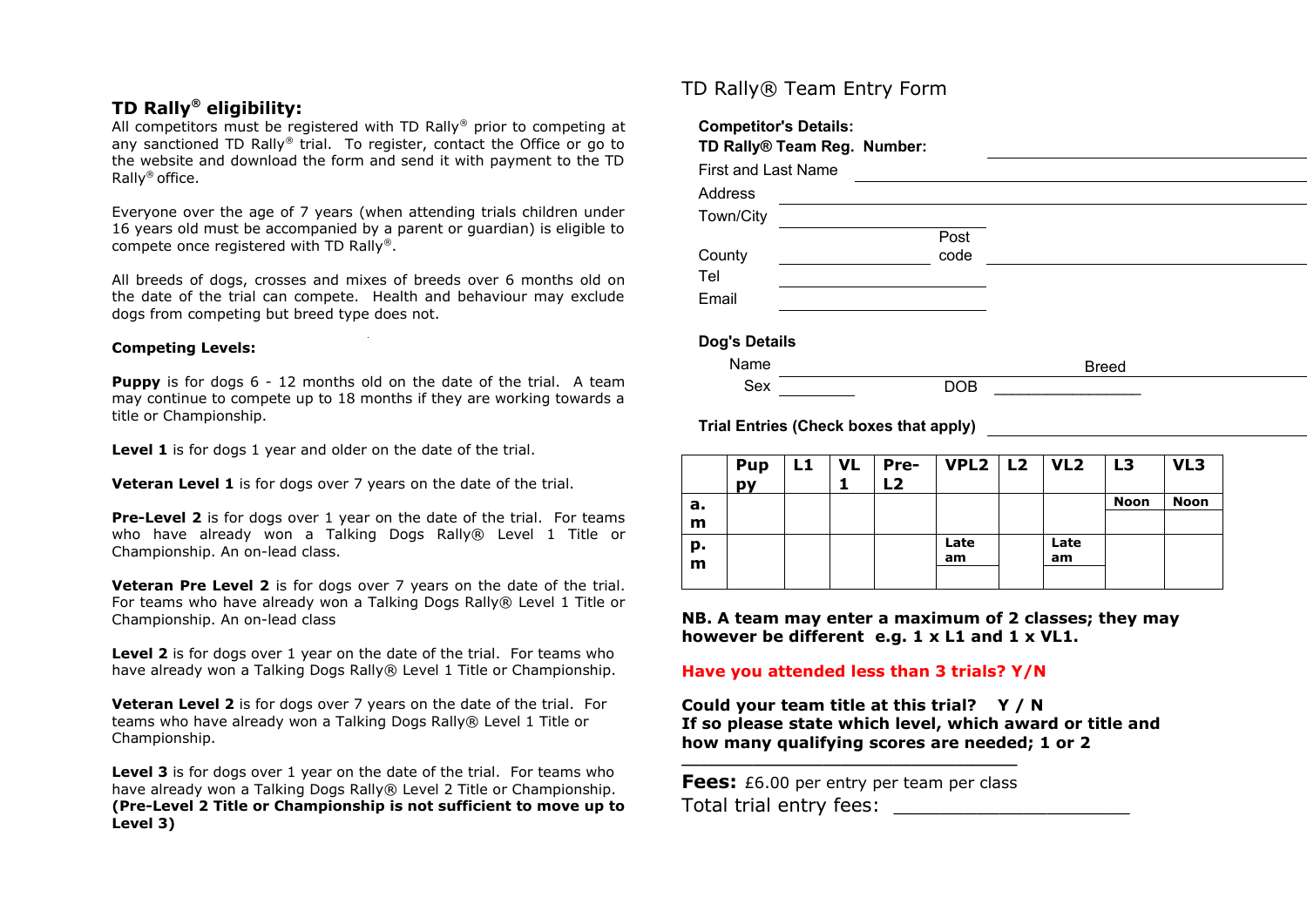# **TD Rally® eligibility:**

All competitors must be registered with TD Rally® prior to competing at any sanctioned TD Rally<sup>®</sup> trial. To register, contact the Office or go to the website and download the form and send it with payment to the TD Rally® office.

Everyone over the age of 7 years (when attending trials children under 16 years old must be accompanied by a parent or guardian) is eligible to compete once registered with TD Rally®.

All breeds of dogs, crosses and mixes of breeds over 6 months old on the date of the trial can compete. Health and behaviour may exclude dogs from competing but breed type does not.

#### **Competing Levels:**

**Puppy** is for dogs 6 - 12 months old on the date of the trial. A team may continue to compete up to 18 months if they are working towards a title or Championship.

Level 1 is for dogs 1 year and older on the date of the trial.

**Veteran Level 1** is for dogs over 7 years on the date of the trial.

**Pre-Level 2** is for dogs over 1 year on the date of the trial. For teams who have already won a Talking Dogs Rally® Level 1 Title or Championship. An on-lead class.

**Veteran Pre Level 2** is for dogs over 7 years on the date of the trial. For teams who have already won a Talking Dogs Rally® Level 1 Title or Championship. An on-lead class

**Level 2** is for dogs over 1 year on the date of the trial. For teams who have already won a Talking Dogs Rally® Level 1 Title or Championship.

**Veteran Level 2** is for dogs over 7 years on the date of the trial. For teams who have already won a Talking Dogs Rally® Level 1 Title or Championship.

**Level 3** is for dogs over 1 year on the date of the trial. For teams who have already won a Talking Dogs Rally® Level 2 Title or Championship. **(Pre-Level 2 Title or Championship is not sufficient to move up to Level 3)**

# TD Rally® Team Entry Form

| <b>Competitor's Details:</b><br>TD Rally® Team Reg. Number: |            |              |
|-------------------------------------------------------------|------------|--------------|
| <b>First and Last Name</b>                                  |            |              |
| Address                                                     |            |              |
| Town/City                                                   |            |              |
|                                                             | Post       |              |
| County                                                      | code       |              |
| Tel                                                         |            |              |
| Email                                                       |            |              |
| <b>Dog's Details</b>                                        |            |              |
|                                                             |            |              |
| Name                                                        |            | <b>Breed</b> |
| Sex                                                         | <b>DOB</b> |              |

|    | <b>Pup</b><br>py |  | $LI$   VL   Pre-<br>L <sub>2</sub> | VPL2   L2   VL2 |      | L3          | VL3         |
|----|------------------|--|------------------------------------|-----------------|------|-------------|-------------|
| а. |                  |  |                                    |                 |      | <b>Noon</b> | <b>Noon</b> |
| m  |                  |  |                                    |                 |      |             |             |
| p. |                  |  |                                    | Late            | Late |             |             |
| m  |                  |  |                                    | am              | am   |             |             |
|    |                  |  |                                    |                 |      |             |             |

**NB. A team may enter a maximum of 2 classes; they may however be different e.g. 1 x L1 and 1 x VL1.**

### **Have you attended less than 3 trials? Y/N**

**Trial Entries (Check boxes that apply)**

**Could your team title at this trial? Y / N If so please state which level, which award or title and how many qualifying scores are needed; 1 or 2**

**Fees:** £6.00 per entry per team per class Total trial entry fees:

**\_\_\_\_\_\_\_\_\_\_\_\_\_\_\_\_\_\_\_\_\_\_\_\_\_\_\_\_\_\_\_\_\_\_\_\_\_\_**